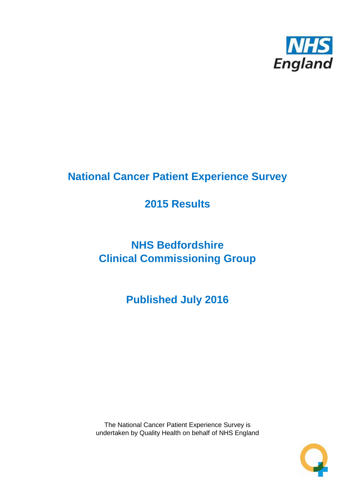

## **National Cancer Patient Experience Survey**

## **2015 Results**

# **NHS Bedfordshire Clinical Commissioning Group**

**Published July 2016**

The National Cancer Patient Experience Survey is undertaken by Quality Health on behalf of NHS England

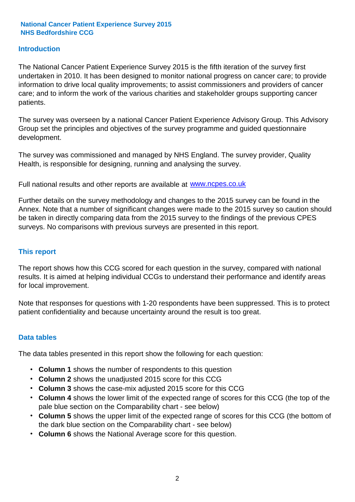#### **Introduction**

The National Cancer Patient Experience Survey 2015 is the fifth iteration of the survey first undertaken in 2010. It has been designed to monitor national progress on cancer care; to provide information to drive local quality improvements; to assist commissioners and providers of cancer care; and to inform the work of the various charities and stakeholder groups supporting cancer patients.

The survey was overseen by a national Cancer Patient Experience Advisory Group. This Advisory Group set the principles and objectives of the survey programme and guided questionnaire development.

The survey was commissioned and managed by NHS England. The survey provider, Quality Health, is responsible for designing, running and analysing the survey.

Full national results and other reports are available at www.ncpes.co.uk

Further details on the survey methodology and changes to the 2015 survey can be found in the Annex. Note that a number of significant changes were made to the 2015 survey so caution should be taken in directly comparing data from the 2015 survey to the findings of the previous CPES surveys. No comparisons with previous surveys are presented in this report.

#### **This report**

The report shows how this CCG scored for each question in the survey, compared with national results. It is aimed at helping individual CCGs to understand their performance and identify areas for local improvement.

Note that responses for questions with 1-20 respondents have been suppressed. This is to protect patient confidentiality and because uncertainty around the result is too great.

#### **Data tables**

The data tables presented in this report show the following for each question:

- **Column 1** shows the number of respondents to this question
- **Column 2** shows the unadjusted 2015 score for this CCG
- **Column 3** shows the case-mix adjusted 2015 score for this CCG
- **Column 4** shows the lower limit of the expected range of scores for this CCG (the top of the pale blue section on the Comparability chart - see below)
- **Column 5** shows the upper limit of the expected range of scores for this CCG (the bottom of the dark blue section on the Comparability chart - see below)
- **Column 6** shows the National Average score for this question.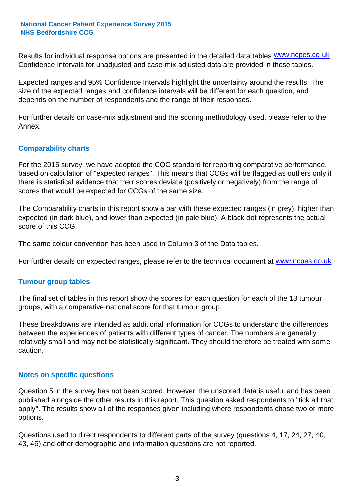Results for individual response options are presented in the detailed data tables **WWW.ncpes.co.uk** Confidence Intervals for unadjusted and case-mix adjusted data are provided in these tables.

Expected ranges and 95% Confidence Intervals highlight the uncertainty around the results. The size of the expected ranges and confidence intervals will be different for each question, and depends on the number of respondents and the range of their responses.

For further details on case-mix adjustment and the scoring methodology used, please refer to the Annex.

### **Comparability charts**

For the 2015 survey, we have adopted the CQC standard for reporting comparative performance, based on calculation of "expected ranges". This means that CCGs will be flagged as outliers only if there is statistical evidence that their scores deviate (positively or negatively) from the range of scores that would be expected for CCGs of the same size.

The Comparability charts in this report show a bar with these expected ranges (in grey), higher than expected (in dark blue), and lower than expected (in pale blue). A black dot represents the actual score of this CCG.

The same colour convention has been used in Column 3 of the Data tables.

For further details on expected ranges, please refer to the technical document at **www.ncpes.co.uk** 

#### **Tumour group tables**

The final set of tables in this report show the scores for each question for each of the 13 tumour groups, with a comparative national score for that tumour group.

These breakdowns are intended as additional information for CCGs to understand the differences between the experiences of patients with different types of cancer. The numbers are generally relatively small and may not be statistically significant. They should therefore be treated with some caution.

#### **Notes on specific questions**

Question 5 in the survey has not been scored. However, the unscored data is useful and has been published alongside the other results in this report. This question asked respondents to "tick all that apply". The results show all of the responses given including where respondents chose two or more options.

Questions used to direct respondents to different parts of the survey (questions 4, 17, 24, 27, 40, 43, 46) and other demographic and information questions are not reported.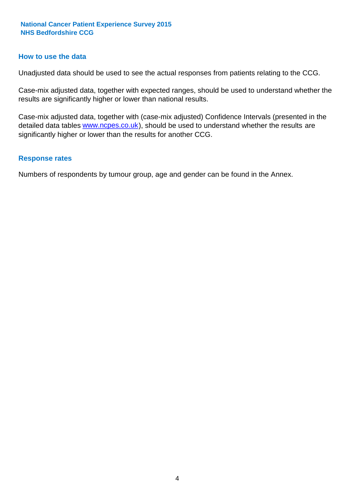#### **How to use the data**

Unadjusted data should be used to see the actual responses from patients relating to the CCG.

Case-mix adjusted data, together with expected ranges, should be used to understand whether the results are significantly higher or lower than national results.

Case-mix adjusted data, together with (case-mix adjusted) Confidence Intervals (presented in the detailed data tables **www.ncpes.co.uk**), should be used to understand whether the results are significantly higher or lower than the results for another CCG.

#### **Response rates**

Numbers of respondents by tumour group, age and gender can be found in the Annex.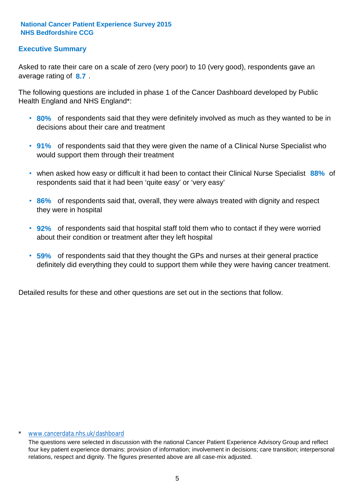### **Executive Summary**

average rating of 8.7. Asked to rate their care on a scale of zero (very poor) to 10 (very good), respondents gave an

The following questions are included in phase 1 of the Cancer Dashboard developed by Public Health England and NHS England\*:

- **80%** of respondents said that they were definitely involved as much as they wanted to be in decisions about their care and treatment
- **91%** of respondents said that they were given the name of a Clinical Nurse Specialist who would support them through their treatment
- when asked how easy or difficult it had been to contact their Clinical Nurse Specialist 88% of respondents said that it had been 'quite easy' or 'very easy'
- **86%** of respondents said that, overall, they were always treated with dignity and respect they were in hospital
- **92%** of respondents said that hospital staff told them who to contact if they were worried about their condition or treatment after they left hospital
- **59%** of respondents said that they thought the GPs and nurses at their general practice definitely did everything they could to support them while they were having cancer treatment.

Detailed results for these and other questions are set out in the sections that follow.

#### \* www.cancerdata.nhs.uk/dashboard

The questions were selected in discussion with the national Cancer Patient Experience Advisory Group and reflect four key patient experience domains: provision of information; involvement in decisions; care transition; interpersonal relations, respect and dignity. The figures presented above are all case-mix adjusted.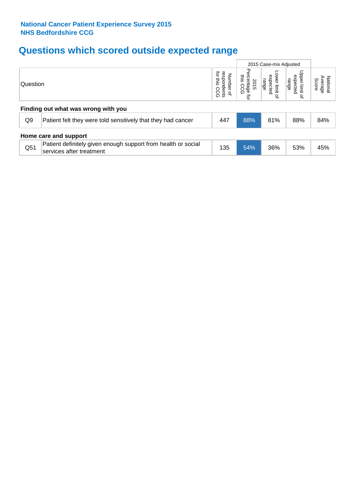## **Questions which scored outside expected range**

|          |                                                                                           |                                                                      |                                                |                                      | 2015 Case-mix Adjusted                |                              |  |  |  |
|----------|-------------------------------------------------------------------------------------------|----------------------------------------------------------------------|------------------------------------------------|--------------------------------------|---------------------------------------|------------------------------|--|--|--|
| Question |                                                                                           | respondents<br>ਕੁੱ<br><b>Number</b><br>inis<br>coo<br>$\overline{a}$ | Pero<br>this<br>sentage<br>is CCG<br>2015<br>ą | ower limit<br>expected<br>range<br>₽ | Upper limit<br>expected<br>range<br>₽ | National<br>Average<br>Score |  |  |  |
|          | Finding out what was wrong with you                                                       |                                                                      |                                                |                                      |                                       |                              |  |  |  |
| Q9       | Patient felt they were told sensitively that they had cancer                              | 447                                                                  | 88%                                            | 81%                                  | 88%                                   | 84%                          |  |  |  |
|          | Home care and support                                                                     |                                                                      |                                                |                                      |                                       |                              |  |  |  |
| Q51      | Patient definitely given enough support from health or social<br>services after treatment | 135                                                                  | 54%                                            | 36%                                  | 53%                                   | 45%                          |  |  |  |
|          |                                                                                           |                                                                      |                                                |                                      |                                       |                              |  |  |  |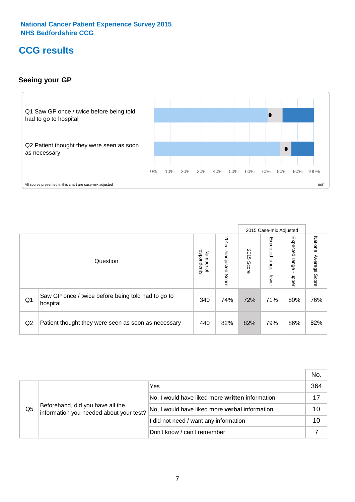## **CCG results**

### **Seeing your GP**



|    |                                                                |                                         |                             |               | 2015 Case-mix Adjusted     |                            |                           |
|----|----------------------------------------------------------------|-----------------------------------------|-----------------------------|---------------|----------------------------|----------------------------|---------------------------|
|    | Question                                                       | respondents<br>Number<br>$\overline{a}$ | 2015<br>Unadjusted<br>Score | 2015<br>Score | Expected<br>range<br>lower | Expected<br>range<br>nbber | National Average<br>Score |
| Q1 | Saw GP once / twice before being told had to go to<br>hospital | 340                                     | 74%                         | 72%           | 71%                        | 80%                        | 76%                       |
| Q2 | Patient thought they were seen as soon as necessary            | 440                                     | 82%                         | 82%           | 79%                        | 86%                        | 82%                       |

|    |                                                                             |                                                 | No. |
|----|-----------------------------------------------------------------------------|-------------------------------------------------|-----|
|    | Beforehand, did you have all the<br>information you needed about your test? | Yes                                             | 364 |
|    |                                                                             | No, I would have liked more written information |     |
| Q5 |                                                                             | No, I would have liked more verbal information  | 10  |
|    |                                                                             | I did not need / want any information           | 10  |
|    |                                                                             | Don't know / can't remember                     |     |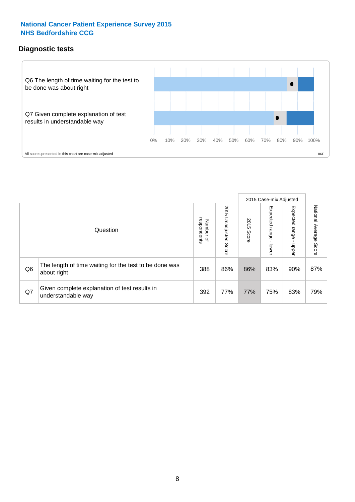## **Diagnostic tests**



|                |                                                                       |                                   |                             |               | 2015 Case-mix Adjusted  |                         |                           |
|----------------|-----------------------------------------------------------------------|-----------------------------------|-----------------------------|---------------|-------------------------|-------------------------|---------------------------|
|                | Question                                                              | respondents<br>Number<br>$\Omega$ | 2015<br>Unadjusted<br>Score | 2015<br>Score | Expected range<br>lower | Expected range<br>nbber | National Average<br>Score |
| Q <sub>6</sub> | The length of time waiting for the test to be done was<br>about right | 388                               | 86%                         | 86%           | 83%                     | 90%                     | 87%                       |
| Q7             | Given complete explanation of test results in<br>understandable way   | 392                               | 77%                         | 77%           | 75%                     | 83%                     | 79%                       |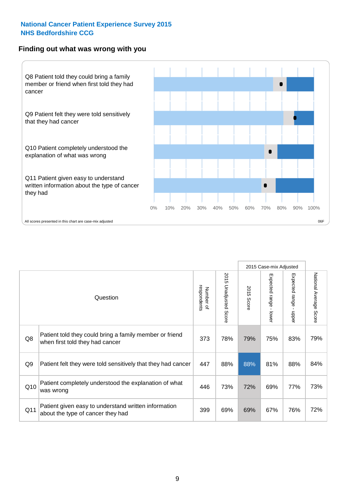#### **Finding out what was wrong with you**



|                |                                                                                            |                          |                                 |               | 2015 Case-mix Adjusted                    |                                           |                        |
|----------------|--------------------------------------------------------------------------------------------|--------------------------|---------------------------------|---------------|-------------------------------------------|-------------------------------------------|------------------------|
|                | Question                                                                                   | respondents<br>Number of | 2015<br><b>Unadjusted Score</b> | 2015<br>Score | Expected range<br>$\blacksquare$<br>lower | Expected range<br>$\blacksquare$<br>nbber | National Average Score |
| Q8             | Patient told they could bring a family member or friend<br>when first told they had cancer | 373                      | 78%                             | 79%           | 75%                                       | 83%                                       | 79%                    |
| Q <sub>9</sub> | Patient felt they were told sensitively that they had cancer                               | 447                      | 88%                             | 88%           | 81%                                       | 88%                                       | 84%                    |
| Q10            | Patient completely understood the explanation of what<br>was wrong                         | 446                      | 73%                             | 72%           | 69%                                       | 77%                                       | 73%                    |
| Q11            | Patient given easy to understand written information<br>about the type of cancer they had  | 399                      | 69%                             | 69%           | 67%                                       | 76%                                       | 72%                    |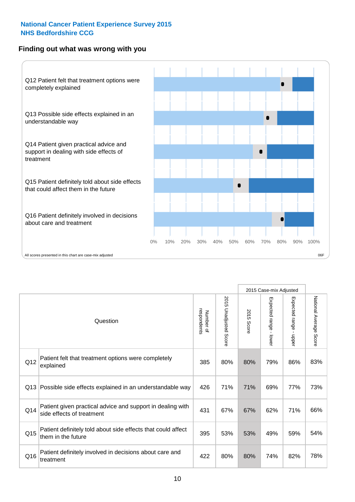### **Finding out what was wrong with you**



|     |                                                                                         |                          |                       |               | 2015 Case-mix Adjusted                  |                           |                        |
|-----|-----------------------------------------------------------------------------------------|--------------------------|-----------------------|---------------|-----------------------------------------|---------------------------|------------------------|
|     | Question                                                                                | respondents<br>Number of | 2015 Unadjusted Score | 2015<br>Score | Expected range<br>$\mathbf{r}$<br>lower | Expected range -<br>nbber | National Average Score |
| Q12 | Patient felt that treatment options were completely<br>explained                        | 385                      | 80%                   | 80%           | 79%                                     | 86%                       | 83%                    |
| Q13 | Possible side effects explained in an understandable way                                | 426                      | 71%                   | 71%           | 69%                                     | 77%                       | 73%                    |
| Q14 | Patient given practical advice and support in dealing with<br>side effects of treatment | 431                      | 67%                   | 67%           | 62%                                     | 71%                       | 66%                    |
| Q15 | Patient definitely told about side effects that could affect<br>them in the future      | 395                      | 53%                   | 53%           | 49%                                     | 59%                       | 54%                    |
| Q16 | Patient definitely involved in decisions about care and<br>treatment                    | 422                      | 80%                   | 80%           | 74%                                     | 82%                       | 78%                    |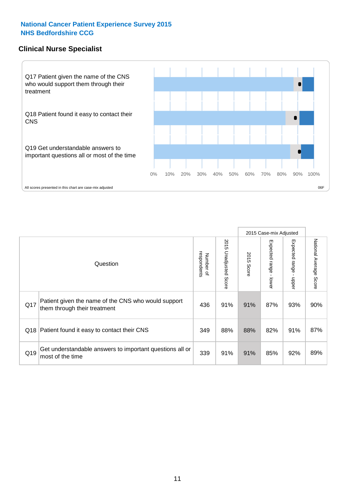#### **Clinical Nurse Specialist**



|     |                                                                                     |                          |                       |               | 2015 Case-mix Adjusted  |                              |                                  |
|-----|-------------------------------------------------------------------------------------|--------------------------|-----------------------|---------------|-------------------------|------------------------------|----------------------------------|
|     | Question                                                                            | respondents<br>Number of | 2015 Unadjusted Score | 2015<br>Score | Expected range<br>lower | Expected<br>l range<br>nbber | National Average<br><b>Score</b> |
| Q17 | Patient given the name of the CNS who would support<br>them through their treatment | 436                      | 91%                   | 91%           | 87%                     | 93%                          | 90%                              |
| Q18 | Patient found it easy to contact their CNS                                          | 349                      | 88%                   | 88%           | 82%                     | 91%                          | 87%                              |
| Q19 | Get understandable answers to important questions all or<br>most of the time        | 339                      | 91%                   | 91%           | 85%                     | 92%                          | 89%                              |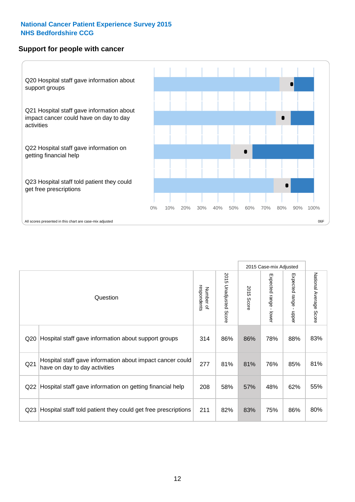#### **Support for people with cancer**



|                 |                                                                                            |                          |                       |               | 2015 Case-mix Adjusted    |                           |                        |
|-----------------|--------------------------------------------------------------------------------------------|--------------------------|-----------------------|---------------|---------------------------|---------------------------|------------------------|
|                 | Question                                                                                   | respondents<br>Number of | 2015 Unadjusted Score | 2015<br>Score | Expected range<br>- lower | Expected range -<br>nbber | National Average Score |
| Q20             | Hospital staff gave information about support groups                                       | 314                      | 86%                   | 86%           | 78%                       | 88%                       | 83%                    |
| Q <sub>21</sub> | Hospital staff gave information about impact cancer could<br>have on day to day activities | 277                      | 81%                   | 81%           | 76%                       | 85%                       | 81%                    |
| Q22             | Hospital staff gave information on getting financial help                                  | 208                      | 58%                   | 57%           | 48%                       | 62%                       | 55%                    |
| Q <sub>23</sub> | Hospital staff told patient they could get free prescriptions                              | 211                      | 82%                   | 83%           | 75%                       | 86%                       | 80%                    |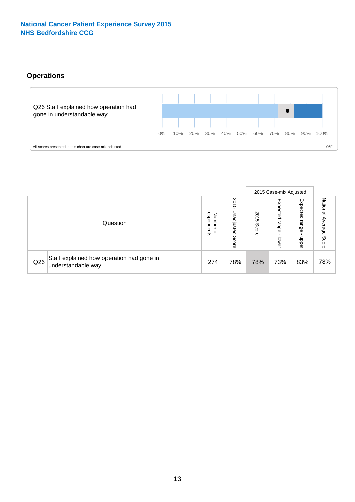### **Operations**



|     |                                                                 |                                              |                             |                   | 2015 Case-mix Adjusted     |                            |                              |
|-----|-----------------------------------------------------------------|----------------------------------------------|-----------------------------|-------------------|----------------------------|----------------------------|------------------------------|
|     | Question                                                        | respondents<br>Number<br>$\overline{\sigma}$ | 2015<br>Unadjusted<br>Score | 201<br>c<br>Score | Expected<br>range<br>lower | Expected<br>range<br>doper | National<br>Average<br>Score |
| Q26 | Staff explained how operation had gone in<br>understandable way | 274                                          | 78%                         | 78%               | 73%                        | 83%                        | 78%                          |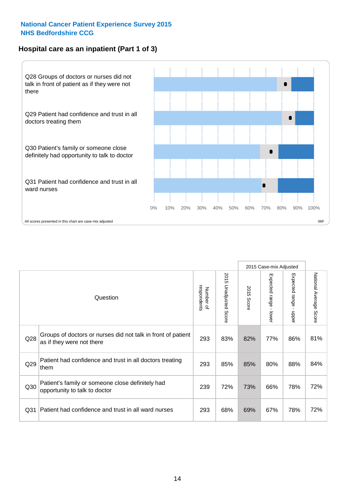### **Hospital care as an inpatient (Part 1 of 3)**



All scores presented in this chart are case-mix adjusted  $06F$ 

|                 |                                                                                           |                          |                                 |                      | 2015 Case-mix Adjusted                    |                                         |                        |
|-----------------|-------------------------------------------------------------------------------------------|--------------------------|---------------------------------|----------------------|-------------------------------------------|-----------------------------------------|------------------------|
|                 | Question                                                                                  | respondents<br>Number of | 2015<br><b>Unadjusted Score</b> | 2015<br><b>Score</b> | Expected range<br>$\blacksquare$<br>lower | Expected range<br>$\mathbf{I}$<br>nbber | National Average Score |
| Q28             | Groups of doctors or nurses did not talk in front of patient<br>as if they were not there | 293                      | 83%                             | 82%                  | 77%                                       | 86%                                     | 81%                    |
| Q29             | Patient had confidence and trust in all doctors treating<br>them                          | 293                      | 85%                             | 85%                  | 80%                                       | 88%                                     | 84%                    |
| Q30             | Patient's family or someone close definitely had<br>opportunity to talk to doctor         | 239                      | 72%                             | 73%                  | 66%                                       | 78%                                     | 72%                    |
| Q <sub>31</sub> | Patient had confidence and trust in all ward nurses                                       | 293                      | 68%                             | 69%                  | 67%                                       | 78%                                     | 72%                    |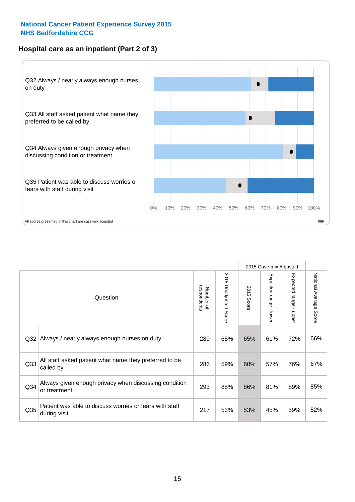### **Hospital care as an inpatient (Part 2 of 3)**



|     |                                                                         |                          |                                 |               | 2015 Case-mix Adjusted  |                        |                        |
|-----|-------------------------------------------------------------------------|--------------------------|---------------------------------|---------------|-------------------------|------------------------|------------------------|
|     | Question                                                                | respondents<br>Number of | 2015<br><b>Unadjusted Score</b> | 2015<br>Score | Expected range<br>lower | Expected range - upper | National Average Score |
| Q32 | Always / nearly always enough nurses on duty                            | 289                      | 65%                             | 65%           | 61%                     | 72%                    | 66%                    |
| Q33 | All staff asked patient what name they preferred to be<br>called by     | 286                      | 59%                             | 60%           | 57%                     | 76%                    | 67%                    |
| Q34 | Always given enough privacy when discussing condition<br>or treatment   | 293                      | 85%                             | 86%           | 81%                     | 89%                    | 85%                    |
| Q35 | Patient was able to discuss worries or fears with staff<br>during visit | 217                      | 53%                             | 53%           | 45%                     | 59%                    | 52%                    |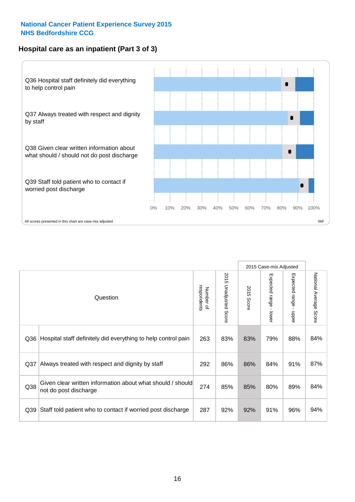### **Hospital care as an inpatient (Part 3 of 3)**



|                 |                                                                                     |                          |                                 |               | 2015 Case-mix Adjusted  |                        |                        |
|-----------------|-------------------------------------------------------------------------------------|--------------------------|---------------------------------|---------------|-------------------------|------------------------|------------------------|
|                 | Question                                                                            | respondents<br>Number of | 2015<br><b>Unadjusted Score</b> | 2015<br>Score | Expected range<br>lower | Expected range - upper | National Average Score |
| Q36             | Hospital staff definitely did everything to help control pain                       | 263                      | 83%                             | 83%           | 79%                     | 88%                    | 84%                    |
| Q <sub>37</sub> | Always treated with respect and dignity by staff                                    | 292                      | 86%                             | 86%           | 84%                     | 91%                    | 87%                    |
| Q38             | Given clear written information about what should / should<br>not do post discharge | 274                      | 85%                             | 85%           | 80%                     | 89%                    | 84%                    |
| Q39             | Staff told patient who to contact if worried post discharge                         | 287                      | 92%                             | 92%           | 91%                     | 96%                    | 94%                    |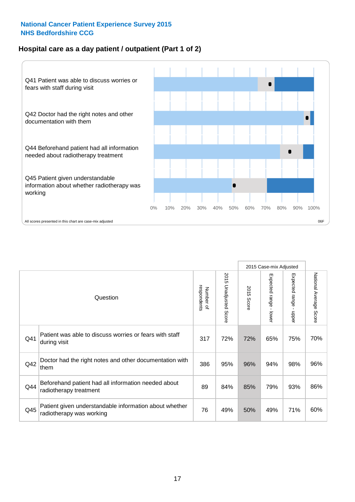### **Hospital care as a day patient / outpatient (Part 1 of 2)**



|     |                                                                                    |                          |                                 | 2015 Case-mix Adjusted |                                         |                                         |                        |
|-----|------------------------------------------------------------------------------------|--------------------------|---------------------------------|------------------------|-----------------------------------------|-----------------------------------------|------------------------|
|     | Question                                                                           | respondents<br>Number of | 2015<br><b>Unadjusted Score</b> | 2015<br><b>Score</b>   | Expected range<br>$\mathbf{r}$<br>lower | Expected range<br>$\mathbf{I}$<br>nbber | National Average Score |
| Q41 | Patient was able to discuss worries or fears with staff<br>during visit            | 317                      | 72%                             | 72%                    | 65%                                     | 75%                                     | 70%                    |
| Q42 | Doctor had the right notes and other documentation with<br>them                    | 386                      | 95%                             | 96%                    | 94%                                     | 98%                                     | 96%                    |
| Q44 | Beforehand patient had all information needed about<br>radiotherapy treatment      | 89                       | 84%                             | 85%                    | 79%                                     | 93%                                     | 86%                    |
| Q45 | Patient given understandable information about whether<br>radiotherapy was working | 76                       | 49%                             | 50%                    | 49%                                     | 71%                                     | 60%                    |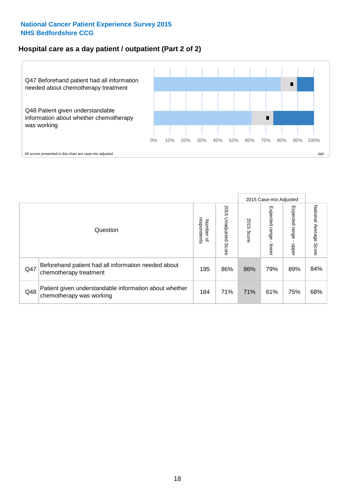### **Hospital care as a day patient / outpatient (Part 2 of 2)**



|     |                                                                                    |                                    |                             | 2015 Case-mix Adjusted |                             |                         |                        |
|-----|------------------------------------------------------------------------------------|------------------------------------|-----------------------------|------------------------|-----------------------------|-------------------------|------------------------|
|     | Question                                                                           | Number of<br>respondents<br>Number | 2015<br>Unadjusted<br>Score | 2015<br>Score          | Expected<br>Irange<br>lower | Expected range<br>nbber | National Average Score |
| Q47 | Beforehand patient had all information needed about<br>chemotherapy treatment      | 195                                | 86%                         | 86%                    | 79%                         | 89%                     | 84%                    |
| Q48 | Patient given understandable information about whether<br>chemotherapy was working | 184                                | 71%                         | 71%                    | 61%                         | 75%                     | 68%                    |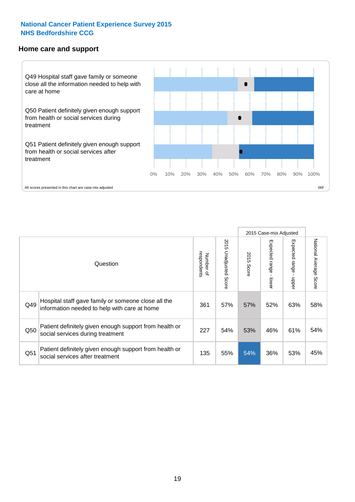#### **Home care and support**



All scores presented in this chart are case-mix adjusted

|                 |                                                                                                     |                          | 2015 Case-mix Adjusted   |                      |                         |                        |                                  |
|-----------------|-----------------------------------------------------------------------------------------------------|--------------------------|--------------------------|----------------------|-------------------------|------------------------|----------------------------------|
|                 | Question                                                                                            | respondents<br>Number of | 2015<br>Unadjusted Score | 2015<br><b>Score</b> | Expected range<br>lower | Expected range<br>ddau | National Average<br><b>Score</b> |
| Q49             | Hospital staff gave family or someone close all the<br>information needed to help with care at home | 361                      | 57%                      | 57%                  | 52%                     | 63%                    | 58%                              |
| Q50             | Patient definitely given enough support from health or<br>social services during treatment          | 227                      | 54%                      | 53%                  | 46%                     | 61%                    | 54%                              |
| Q <sub>51</sub> | Patient definitely given enough support from health or<br>social services after treatment           | 135                      | 55%                      | 54%                  | 36%                     | 53%                    | 45%                              |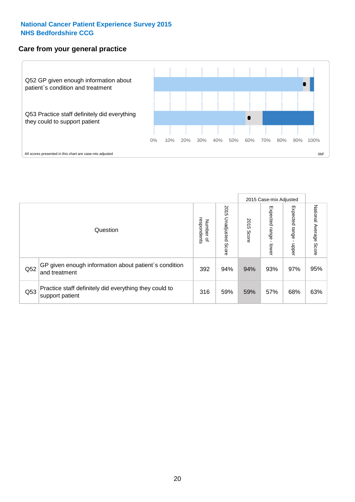### **Care from your general practice**



|     |                                                                           |                                       |                             | 2015 Case-mix Adjusted |                                   |                            |                           |
|-----|---------------------------------------------------------------------------|---------------------------------------|-----------------------------|------------------------|-----------------------------------|----------------------------|---------------------------|
|     | Question                                                                  | respondents<br>Number<br>$\mathbf{Q}$ | 2015<br>Unadjusted<br>Score | 2015<br>Score          | Expected<br><b>Lange</b><br>lower | Expected<br>range<br>doper | National Average<br>Score |
| Q52 | GP given enough information about patient's condition<br>and treatment    | 392                                   | 94%                         | 94%                    | 93%                               | 97%                        | 95%                       |
| Q53 | Practice staff definitely did everything they could to<br>support patient | 316                                   | 59%                         | 59%                    | 57%                               | 68%                        | 63%                       |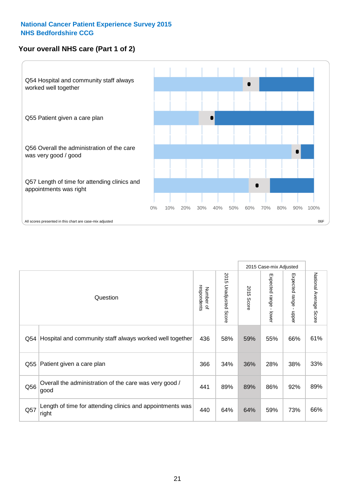## **Your overall NHS care (Part 1 of 2)**



|     |                                                                    |                          |                                 | 2015 Case-mix Adjusted |                         |                                           |                        |
|-----|--------------------------------------------------------------------|--------------------------|---------------------------------|------------------------|-------------------------|-------------------------------------------|------------------------|
|     | Question                                                           | respondents<br>Number of | 2015<br><b>Unadjusted Score</b> | 2015<br><b>Score</b>   | Expected range<br>lower | Expected range<br>$\blacksquare$<br>nbber | National Average Score |
| Q54 | Hospital and community staff always worked well together           | 436                      | 58%                             | 59%                    | 55%                     | 66%                                       | 61%                    |
| Q55 | Patient given a care plan                                          | 366                      | 34%                             | 36%                    | 28%                     | 38%                                       | 33%                    |
| Q56 | Overall the administration of the care was very good /<br>good     | 441                      | 89%                             | 89%                    | 86%                     | 92%                                       | 89%                    |
| Q57 | Length of time for attending clinics and appointments was<br>right | 440                      | 64%                             | 64%                    | 59%                     | 73%                                       | 66%                    |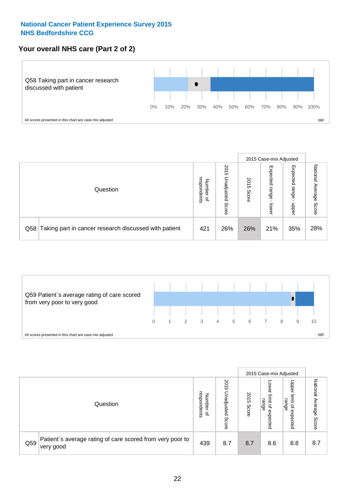### **Your overall NHS care (Part 2 of 2)**



|     |                                                       |                                   |                             |               | 2015 Case-mix Adjusted     |                            |                        |
|-----|-------------------------------------------------------|-----------------------------------|-----------------------------|---------------|----------------------------|----------------------------|------------------------|
|     | Question                                              | respondents<br>Number<br>$\Omega$ | 2015<br>Unadjusted<br>Score | 2015<br>Score | Expected<br>range<br>lower | Expected<br>range<br>nbber | National Average Score |
| Q58 | Taking part in cancer research discussed with patient | 421                               | 26%                         | 26%           | 21%                        | 35%                        | 28%                    |



|     |                                                                        |                                              |                             |               |                                                    | 2015 Case-mix Adjusted                                |                              |
|-----|------------------------------------------------------------------------|----------------------------------------------|-----------------------------|---------------|----------------------------------------------------|-------------------------------------------------------|------------------------------|
|     | Question                                                               | respondents<br>Number<br>$\overline{\sigma}$ | 2015<br>Jnadjusted<br>Score | 2015<br>Score | OWer<br>limit<br>range<br>$\mathbf{a}$<br>expected | Upper<br>limit<br>range<br>$\overline{a}$<br>expected | National<br>Average<br>Score |
| Q59 | Patient's average rating of care scored from very poor to<br>very good | 439                                          | 8.7                         | 8.7           | 8.6                                                | 8.8                                                   | 8.7                          |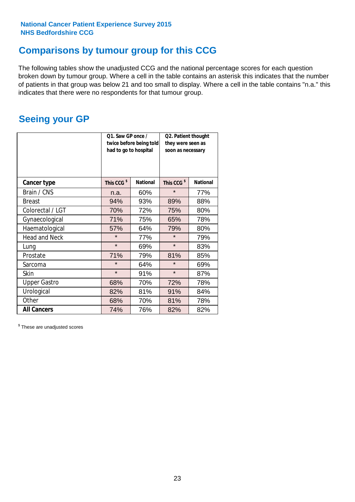## **Comparisons by tumour group for this CCG**

The following tables show the unadjusted CCG and the national percentage scores for each question broken down by tumour group. Where a cell in the table contains an asterisk this indicates that the number of patients in that group was below 21 and too small to display. Where a cell in the table contains "n.a." this indicates that there were no respondents for that tumour group.

## **Seeing your GP**

|                      | Q1. Saw GP once /<br>had to go to hospital | twice before being told | Q2. Patient thought<br>they were seen as<br>soon as necessary |                 |  |
|----------------------|--------------------------------------------|-------------------------|---------------------------------------------------------------|-----------------|--|
| <b>Cancer type</b>   | This CCG <sup>\$</sup>                     | <b>National</b>         | This CCG <sup>\$</sup>                                        | <b>National</b> |  |
| Brain / CNS          | n.a.                                       | 60%                     | $\star$                                                       | 77%             |  |
| <b>Breast</b>        | 94%                                        | 93%                     | 89%                                                           | 88%             |  |
| Colorectal / LGT     | 70%                                        | 72%                     | 75%                                                           | 80%             |  |
| Gynaecological       | 71%                                        | 75%                     | 65%                                                           | 78%             |  |
| Haematological       | 57%                                        | 64%                     | 79%                                                           | 80%             |  |
| <b>Head and Neck</b> | $\star$                                    | 77%                     | $\star$                                                       | 79%             |  |
| Lung                 | $\star$                                    | 69%                     | $\star$                                                       | 83%             |  |
| Prostate             | 71%                                        | 79%                     | 81%                                                           | 85%             |  |
| Sarcoma              | $\star$                                    | 64%                     | $\star$                                                       | 69%             |  |
| <b>Skin</b>          | $\star$                                    | 91%                     | $\star$                                                       | 87%             |  |
| <b>Upper Gastro</b>  | 68%                                        | 70%                     | 72%                                                           | 78%             |  |
| Urological           | 82%                                        | 81%                     | 91%                                                           | 84%             |  |
| Other                | 68%                                        | 70%                     | 81%                                                           | 78%             |  |
| <b>All Cancers</b>   | 74%                                        | 76%                     | 82%                                                           | 82%             |  |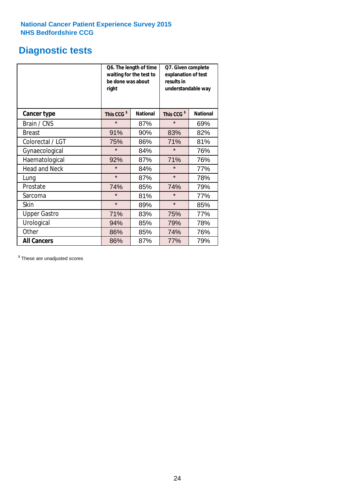## **Diagnostic tests**

|                      | be done was about<br>right | Q6. The length of time<br>waiting for the test to | Q7. Given complete<br>explanation of test<br>results in<br>understandable way |                 |  |
|----------------------|----------------------------|---------------------------------------------------|-------------------------------------------------------------------------------|-----------------|--|
| <b>Cancer type</b>   | This CCG <sup>\$</sup>     | <b>National</b>                                   | This CCG <sup>\$</sup>                                                        | <b>National</b> |  |
| Brain / CNS          | $\star$                    | 87%                                               | $\star$                                                                       | 69%             |  |
| <b>Breast</b>        | 91%                        | 90%                                               | 83%                                                                           | 82%             |  |
| Colorectal / LGT     | 75%                        | 86%                                               | 71%                                                                           | 81%             |  |
| Gynaecological       | $\star$                    | 84%                                               | $\star$                                                                       | 76%             |  |
| Haematological       | 92%                        | 87%                                               | 71%                                                                           | 76%             |  |
| <b>Head and Neck</b> | $\star$                    | 84%                                               | $\star$                                                                       | 77%             |  |
| Lung                 | $\star$                    | 87%                                               | $\star$                                                                       | 78%             |  |
| Prostate             | 74%                        | 85%                                               | 74%                                                                           | 79%             |  |
| Sarcoma              | $\star$                    | 81%                                               | $\star$                                                                       | 77%             |  |
| Skin                 | $\star$                    | 89%                                               | $\star$                                                                       | 85%             |  |
| <b>Upper Gastro</b>  | 71%                        | 83%                                               | 75%                                                                           | 77%             |  |
| Urological           | 94%                        | 85%                                               | 79%                                                                           | 78%             |  |
| Other                | 86%                        | 85%                                               | 74%                                                                           | 76%             |  |
| <b>All Cancers</b>   | 86%                        | 87%                                               | 77%                                                                           | 79%             |  |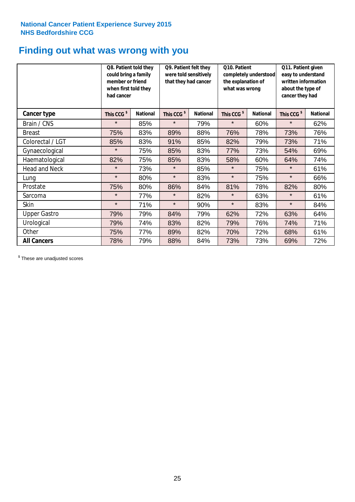## **Finding out what was wrong with you**

|                      | Q8. Patient told they<br>could bring a family<br>member or friend<br>when first told they<br>had cancer |                 | Q9. Patient felt they<br>were told sensitively<br>that they had cancer |                 | Q10. Patient<br>completely understood<br>the explanation of<br>what was wrong |                 | Q11. Patient given<br>easy to understand<br>written information<br>about the type of<br>cancer they had |                 |
|----------------------|---------------------------------------------------------------------------------------------------------|-----------------|------------------------------------------------------------------------|-----------------|-------------------------------------------------------------------------------|-----------------|---------------------------------------------------------------------------------------------------------|-----------------|
| Cancer type          | This CCG <sup>\$</sup>                                                                                  | <b>National</b> | This CCG <sup>\$</sup>                                                 | <b>National</b> | This CCG <sup>\$</sup>                                                        | <b>National</b> | This CCG <sup>\$</sup>                                                                                  | <b>National</b> |
| Brain / CNS          | $\star$                                                                                                 | 85%             | $\star$                                                                | 79%             | $\star$                                                                       | 60%             | $\star$                                                                                                 | 62%             |
| <b>Breast</b>        | 75%                                                                                                     | 83%             | 89%                                                                    | 88%             | 76%                                                                           | 78%             | 73%                                                                                                     | 76%             |
| Colorectal / LGT     | 85%                                                                                                     | 83%             | 91%                                                                    | 85%             | 82%                                                                           | 79%             | 73%                                                                                                     | 71%             |
| Gynaecological       | $\star$                                                                                                 | 75%             | 85%                                                                    | 83%             | 77%                                                                           | 73%             | 54%                                                                                                     | 69%             |
| Haematological       | 82%                                                                                                     | 75%             | 85%                                                                    | 83%             | 58%                                                                           | 60%             | 64%                                                                                                     | 74%             |
| <b>Head and Neck</b> | $\star$                                                                                                 | 73%             | $\star$                                                                | 85%             | $\star$                                                                       | 75%             | $\star$                                                                                                 | 61%             |
| Lung                 | $\star$                                                                                                 | 80%             | $\star$                                                                | 83%             | $\star$                                                                       | 75%             | $\star$                                                                                                 | 66%             |
| Prostate             | 75%                                                                                                     | 80%             | 86%                                                                    | 84%             | 81%                                                                           | 78%             | 82%                                                                                                     | 80%             |
| Sarcoma              | $\star$                                                                                                 | 77%             | $\star$                                                                | 82%             | $\star$                                                                       | 63%             | $\star$                                                                                                 | 61%             |
| Skin                 | $\star$                                                                                                 | 71%             | $\star$                                                                | 90%             | $\star$                                                                       | 83%             | $\star$                                                                                                 | 84%             |
| <b>Upper Gastro</b>  | 79%                                                                                                     | 79%             | 84%                                                                    | 79%             | 62%                                                                           | 72%             | 63%                                                                                                     | 64%             |
| Urological           | 79%                                                                                                     | 74%             | 83%                                                                    | 82%             | 79%                                                                           | 76%             | 74%                                                                                                     | 71%             |
| Other                | 75%                                                                                                     | 77%             | 89%                                                                    | 82%             | 70%                                                                           | 72%             | 68%                                                                                                     | 61%             |
| <b>All Cancers</b>   | 78%                                                                                                     | 79%             | 88%                                                                    | 84%             | 73%                                                                           | 73%             | 69%                                                                                                     | 72%             |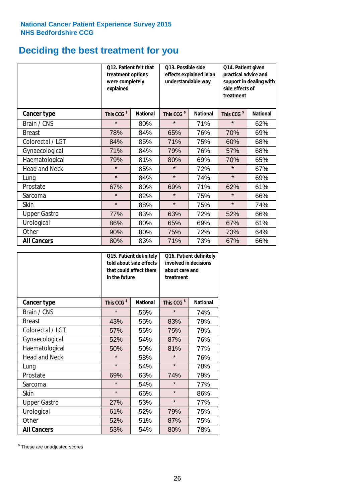## **Deciding the best treatment for you**

|                      | <b>O12. Patient felt that</b><br>treatment options<br>were completely<br>explained |                 | O13. Possible side<br>understandable way | effects explained in an | Q14. Patient given<br>practical advice and<br>support in dealing with<br>side effects of<br>treatment |                 |  |
|----------------------|------------------------------------------------------------------------------------|-----------------|------------------------------------------|-------------------------|-------------------------------------------------------------------------------------------------------|-----------------|--|
| <b>Cancer type</b>   | This CCG <sup>\$</sup>                                                             | <b>National</b> | This CCG <sup>\$</sup>                   | <b>National</b>         | This CCG <sup>\$</sup>                                                                                | <b>National</b> |  |
| Brain / CNS          | $\star$                                                                            | 80%             | $\star$                                  | 71%                     | $\star$                                                                                               | 62%             |  |
| <b>Breast</b>        | 78%                                                                                | 84%             | 65%                                      | 76%                     | 70%                                                                                                   | 69%             |  |
| Colorectal / LGT     | 84%                                                                                | 85%             | 71%                                      | 75%                     | 60%                                                                                                   | 68%             |  |
| Gynaecological       | 71%                                                                                | 84%             | 79%                                      | 76%                     | 57%                                                                                                   | 68%             |  |
| Haematological       | 79%                                                                                | 81%             | 80%                                      | 69%                     | 70%                                                                                                   | 65%             |  |
| <b>Head and Neck</b> | $\star$                                                                            | 85%             | $\star$                                  | 72%                     | $\star$                                                                                               | 67%             |  |
| Lung                 | $\star$                                                                            | 84%             | $\star$                                  | 74%                     | $\star$                                                                                               | 69%             |  |
| Prostate             | 67%                                                                                | 80%             | 69%                                      | 71%                     | 62%                                                                                                   | 61%             |  |
| Sarcoma              | $\star$                                                                            | 82%             | $\star$                                  | 75%                     | $\star$                                                                                               | 66%             |  |
| Skin                 | $\star$                                                                            | 88%             | $\star$                                  | 75%                     | $\star$                                                                                               | 74%             |  |
| <b>Upper Gastro</b>  | 77%                                                                                | 83%             | 63%                                      | 72%                     | 52%                                                                                                   | 66%             |  |
| Urological           | 86%                                                                                | 80%             | 65%                                      | 69%                     | 67%                                                                                                   | 61%             |  |
| Other                | 90%                                                                                | 80%             | 75%                                      | 72%                     | 73%                                                                                                   | 64%             |  |
| <b>All Cancers</b>   | 80%                                                                                | 83%             | 71%                                      | 73%                     | 67%                                                                                                   | 66%             |  |

|                      | in the future          | Q15. Patient definitely<br>told about side effects<br>that could affect them | Q16. Patient definitely<br>involved in decisions<br>about care and<br>treatment |                 |  |
|----------------------|------------------------|------------------------------------------------------------------------------|---------------------------------------------------------------------------------|-----------------|--|
| <b>Cancer type</b>   | This CCG <sup>\$</sup> | <b>National</b>                                                              | This CCG <sup>\$</sup>                                                          | <b>National</b> |  |
| Brain / CNS          | $\star$                | 56%                                                                          | $\star$                                                                         | 74%             |  |
| <b>Breast</b>        | 43%                    | 55%                                                                          | 83%                                                                             | 79%             |  |
| Colorectal / LGT     | 57%                    | 56%                                                                          | 75%                                                                             | 79%             |  |
| Gynaecological       | 52%<br>54%             |                                                                              | 87%                                                                             | 76%             |  |
| Haematological       | 50%<br>50%             |                                                                              | 81%                                                                             | 77%             |  |
| <b>Head and Neck</b> | $\star$                | 58%                                                                          | $\star$                                                                         | 76%             |  |
| Lung                 | $\star$                | 54%                                                                          | $\star$                                                                         | 78%             |  |
| Prostate             | 69%                    | 63%                                                                          | 74%                                                                             | 79%             |  |
| Sarcoma              | $\star$                | 54%                                                                          | $\star$                                                                         | 77%             |  |
| <b>Skin</b>          | $\star$                | 66%                                                                          | $\star$                                                                         | 86%             |  |
| <b>Upper Gastro</b>  | 27%                    | 53%                                                                          | $\star$                                                                         | 77%             |  |
| Urological           | 61%                    | 52%                                                                          | 79%                                                                             | 75%             |  |
| Other                | 52%                    | 51%                                                                          | 87%                                                                             | 75%             |  |
| <b>All Cancers</b>   | 53%                    | 54%                                                                          | 80%                                                                             | 78%             |  |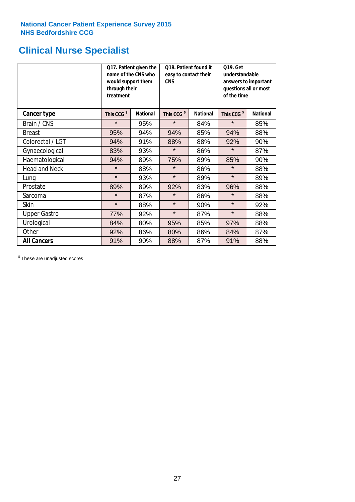## **Clinical Nurse Specialist**

|                      | would support them<br>through their<br>treatment | Q17. Patient given the<br>name of the CNS who | Q18. Patient found it<br>easy to contact their<br><b>CNS</b> |                 | <b>Q19. Get</b><br>understandable<br>answers to important<br>questions all or most<br>of the time |                 |
|----------------------|--------------------------------------------------|-----------------------------------------------|--------------------------------------------------------------|-----------------|---------------------------------------------------------------------------------------------------|-----------------|
| <b>Cancer type</b>   | This CCG <sup>\$</sup>                           | <b>National</b>                               | This CCG <sup>\$</sup>                                       | <b>National</b> | This CCG <sup>\$</sup>                                                                            | <b>National</b> |
| Brain / CNS          | $\star$                                          | 95%                                           | $\star$                                                      | 84%             | $\star$                                                                                           | 85%             |
| <b>Breast</b>        | 95%                                              | 94%                                           | 94%                                                          | 85%             | 94%                                                                                               | 88%             |
| Colorectal / LGT     | 94%                                              | 91%                                           | 88%                                                          | 88%             | 92%                                                                                               | 90%             |
| Gynaecological       | 83%                                              | 93%                                           | $\star$                                                      | 86%             | $\star$                                                                                           | 87%             |
| Haematological       | 94%                                              | 89%                                           | 75%<br>89%                                                   |                 | 85%                                                                                               | 90%             |
| <b>Head and Neck</b> | $\star$                                          | 88%                                           | $\star$                                                      | 86%             | $\star$                                                                                           | 88%             |
| Lung                 | $\star$                                          | 93%                                           | $\star$                                                      | 89%             | $\star$                                                                                           | 89%             |
| Prostate             | 89%                                              | 89%                                           | 92%                                                          | 83%             | 96%                                                                                               | 88%             |
| Sarcoma              | $\star$                                          | 87%                                           | $\star$                                                      | 86%             | $\star$                                                                                           | 88%             |
| Skin                 | $\star$                                          | 88%                                           | $\star$                                                      | 90%             | $\star$                                                                                           | 92%             |
| <b>Upper Gastro</b>  | 77%                                              | 92%                                           | $\star$                                                      | 87%             | $\star$                                                                                           | 88%             |
| Urological           | 84%                                              | 80%                                           | 95%                                                          | 85%             | 97%                                                                                               | 88%             |
| Other                | 92%                                              | 86%                                           | 80%                                                          | 86%             | 84%                                                                                               | 87%             |
| <b>All Cancers</b>   | 91%                                              | 90%                                           | 88%                                                          | 87%             | 91%                                                                                               | 88%             |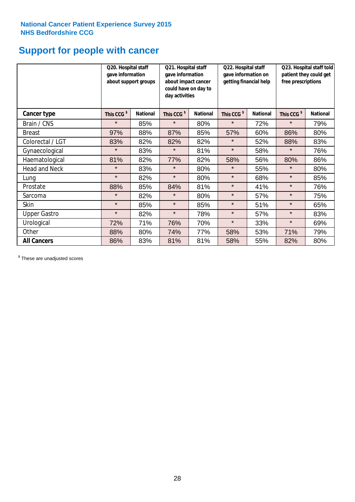## **Support for people with cancer**

|                      | Q20. Hospital staff<br>gave information | about support groups | Q21. Hospital staff<br>gave information<br>about impact cancer<br>could have on day to<br>day activities |                 | Q22. Hospital staff<br>gave information on<br>getting financial help |                 | Q23. Hospital staff told<br>patient they could get<br>free prescriptions |                 |
|----------------------|-----------------------------------------|----------------------|----------------------------------------------------------------------------------------------------------|-----------------|----------------------------------------------------------------------|-----------------|--------------------------------------------------------------------------|-----------------|
| Cancer type          | This CCG <sup>\$</sup>                  | <b>National</b>      | This CCG <sup>\$</sup>                                                                                   | <b>National</b> | This CCG <sup>\$</sup>                                               | <b>National</b> | This CCG <sup>\$</sup>                                                   | <b>National</b> |
| Brain / CNS          | $\star$                                 | 85%                  | $\star$                                                                                                  | 80%             | $\star$                                                              | 72%             | $\star$                                                                  | 79%             |
| <b>Breast</b>        | 97%                                     | 88%                  | 87%                                                                                                      | 85%             | 57%                                                                  | 60%             | 86%                                                                      | 80%             |
| Colorectal / LGT     | 83%                                     | 82%                  | 82%                                                                                                      | 82%             | $\star$                                                              | 52%             | 88%                                                                      | 83%             |
| Gynaecological       | $\star$                                 | 83%                  | $\star$                                                                                                  | 81%             | $\star$                                                              | 58%             | $\star$                                                                  | 76%             |
| Haematological       | 81%                                     | 82%                  | 77%                                                                                                      | 82%             | 58%                                                                  | 56%             | 80%                                                                      | 86%             |
| <b>Head and Neck</b> | $\star$                                 | 83%                  | $\star$                                                                                                  | 80%             | $\star$                                                              | 55%             | $\star$                                                                  | 80%             |
| Lung                 | $\star$                                 | 82%                  | $\star$                                                                                                  | 80%             | $\star$                                                              | 68%             | $\star$                                                                  | 85%             |
| Prostate             | 88%                                     | 85%                  | 84%                                                                                                      | 81%             | $\star$                                                              | 41%             | $\star$                                                                  | 76%             |
| Sarcoma              | $\star$                                 | 82%                  | $\star$                                                                                                  | 80%             | $\star$                                                              | 57%             | $\star$                                                                  | 75%             |
| Skin                 | $\star$                                 | 85%                  | $\star$                                                                                                  | 85%             | $\star$                                                              | 51%             | $\star$                                                                  | 65%             |
| <b>Upper Gastro</b>  | $\star$                                 | 82%                  | $\star$                                                                                                  | 78%             | $\star$                                                              | 57%             | $\star$                                                                  | 83%             |
| Urological           | 72%                                     | 71%                  | 76%                                                                                                      | 70%             | $\star$                                                              | 33%             | $\star$                                                                  | 69%             |
| Other                | 88%                                     | 80%                  | 74%                                                                                                      | 77%             | 58%                                                                  | 53%             | 71%                                                                      | 79%             |
| <b>All Cancers</b>   | 86%                                     | 83%                  | 81%                                                                                                      | 81%             | 58%                                                                  | 55%             | 82%                                                                      | 80%             |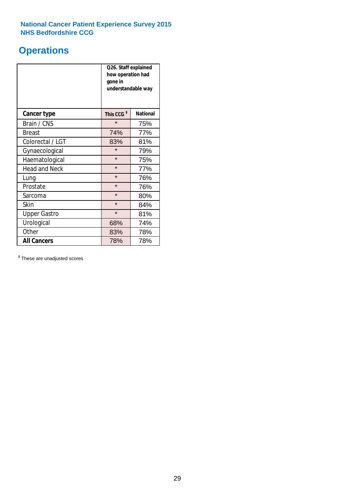## **Operations**

|                      | Q26. Staff explained<br>how operation had<br>gone in<br>understandable way |                 |  |  |  |
|----------------------|----------------------------------------------------------------------------|-----------------|--|--|--|
| <b>Cancer type</b>   | This CCG <sup>\$</sup>                                                     | <b>National</b> |  |  |  |
| Brain / CNS          | $\star$                                                                    | 75%             |  |  |  |
| <b>Breast</b>        | 74%                                                                        | 77%             |  |  |  |
| Colorectal / LGT     | 83%                                                                        | 81%             |  |  |  |
| Gynaecological       | $\star$                                                                    | 79%             |  |  |  |
| Haematological       | $\star$<br>75%                                                             |                 |  |  |  |
| <b>Head and Neck</b> | $\star$                                                                    | 77%             |  |  |  |
| Lung                 | $\star$                                                                    | 76%             |  |  |  |
| Prostate             | $\star$                                                                    | 76%             |  |  |  |
| Sarcoma              | $\star$                                                                    | 80%             |  |  |  |
| Skin                 | $\star$                                                                    | 84%             |  |  |  |
| <b>Upper Gastro</b>  | $\star$                                                                    | 81%             |  |  |  |
| Urological           | 68%                                                                        | 74%             |  |  |  |
| Other                | 83%<br>78%                                                                 |                 |  |  |  |
| <b>All Cancers</b>   | 78%<br>78%                                                                 |                 |  |  |  |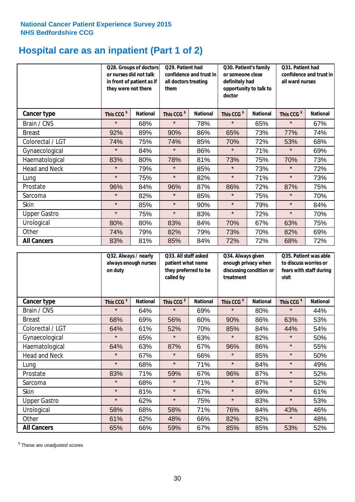## **Hospital care as an inpatient (Part 1 of 2)**

|                      | or nurses did not talk<br>they were not there | Q28. Groups of doctors<br>in front of patient as if | Q29. Patient had<br>confidence and trust in<br>all doctors treating<br>them |                 | Q30. Patient's family<br>or someone close<br>definitely had<br>opportunity to talk to<br>doctor |                 | Q31. Patient had<br>confidence and trust in I<br>all ward nurses |                 |
|----------------------|-----------------------------------------------|-----------------------------------------------------|-----------------------------------------------------------------------------|-----------------|-------------------------------------------------------------------------------------------------|-----------------|------------------------------------------------------------------|-----------------|
| Cancer type          | This CCG <sup>\$</sup>                        | <b>National</b>                                     | This CCG <sup>\$</sup>                                                      | <b>National</b> | This CCG <sup>\$</sup>                                                                          | <b>National</b> | This CCG <sup>\$</sup>                                           | <b>National</b> |
| Brain / CNS          | $\star$                                       | 68%                                                 | $\star$                                                                     | 78%             | $\star$                                                                                         | 65%             | $\star$                                                          | 67%             |
| <b>Breast</b>        | 92%                                           | 89%                                                 | 90%                                                                         | 86%             | 65%                                                                                             | 73%             | 77%                                                              | 74%             |
| Colorectal / LGT     | 74%                                           | 75%                                                 | 74%                                                                         | 85%             | 70%                                                                                             | 72%             | 53%                                                              | 68%             |
| Gynaecological       | $\star$                                       | 84%                                                 | $\star$                                                                     | 86%             | $\star$                                                                                         | 71%             | $\star$                                                          | 69%             |
| Haematological       | 83%                                           | 80%                                                 | 78%                                                                         | 81%             | 73%                                                                                             | 75%             | 70%                                                              | 73%             |
| <b>Head and Neck</b> | $\star$                                       | 79%                                                 | $\star$                                                                     | 85%             | $\star$                                                                                         | 73%             | $\star$                                                          | 72%             |
| Lung                 | $\star$                                       | 75%                                                 | $\star$                                                                     | 82%             | $\star$                                                                                         | 71%             | $\star$                                                          | 73%             |
| Prostate             | 96%                                           | 84%                                                 | 96%                                                                         | 87%             | 86%                                                                                             | 72%             | 87%                                                              | 75%             |
| Sarcoma              | $\star$                                       | 82%                                                 | $\star$                                                                     | 85%             | $\star$                                                                                         | 75%             | $\star$                                                          | 70%             |
| Skin                 | $\star$                                       | 85%                                                 | $\star$                                                                     | 90%             | $\star$                                                                                         | 79%             | $\star$                                                          | 84%             |
| <b>Upper Gastro</b>  | $\star$                                       | 75%                                                 | $\star$                                                                     | 83%             | $\star$                                                                                         | 72%             | $\star$                                                          | 70%             |
| Urological           | 80%                                           | 80%                                                 | 83%                                                                         | 84%             | 70%                                                                                             | 67%             | 63%                                                              | 75%             |
| Other                | 74%                                           | 79%                                                 | 82%                                                                         | 79%             | 73%                                                                                             | 70%             | 82%                                                              | 69%             |
| <b>All Cancers</b>   | 83%                                           | 81%                                                 | 85%                                                                         | 84%             | 72%                                                                                             | 72%             | 68%                                                              | 72%             |

|                      | Q32. Always / nearly<br>always enough nurses<br>on duty |                 | called by              | Q33. All staff asked<br>patient what name<br>they preferred to be |                        | Q34. Always given<br>enough privacy when<br>discussing condition or<br>treatment |                        | Q35. Patient was able<br>to discuss worries or<br>fears with staff during<br>visit |  |
|----------------------|---------------------------------------------------------|-----------------|------------------------|-------------------------------------------------------------------|------------------------|----------------------------------------------------------------------------------|------------------------|------------------------------------------------------------------------------------|--|
| <b>Cancer type</b>   | This CCG <sup>\$</sup>                                  | <b>National</b> | This CCG <sup>\$</sup> | <b>National</b>                                                   | This CCG <sup>\$</sup> | <b>National</b>                                                                  | This CCG <sup>\$</sup> | <b>National</b>                                                                    |  |
| Brain / CNS          | $\star$                                                 | 64%             | $\star$                | 69%                                                               | $\star$                | 80%                                                                              | $\star$                | 44%                                                                                |  |
| <b>Breast</b>        | 68%                                                     | 69%             | 56%                    | 60%                                                               | 90%                    | 86%                                                                              | 63%                    | 53%                                                                                |  |
| Colorectal / LGT     | 64%                                                     | 61%             | 52%                    | 70%                                                               | 85%                    | 84%                                                                              | 44%                    | 54%                                                                                |  |
| Gynaecological       | $\star$                                                 | 65%             | $\star$                | 63%                                                               | $\star$                | 82%                                                                              | $\star$                | 50%                                                                                |  |
| Haematological       | 64%                                                     | 63%             | 87%                    | 67%                                                               | 96%                    | 86%                                                                              | $\star$                | 55%                                                                                |  |
| <b>Head and Neck</b> | $\star$                                                 | 67%             | $\star$                | 66%                                                               | $\star$                | 85%                                                                              | $\star$                | 50%                                                                                |  |
| Lung                 | $\star$                                                 | 68%             | $\star$                | 71%                                                               | $\star$                | 84%                                                                              | $\star$                | 49%                                                                                |  |
| Prostate             | 83%                                                     | 71%             | 59%                    | 67%                                                               | 96%                    | 87%                                                                              | $\star$                | 52%                                                                                |  |
| Sarcoma              | $\star$                                                 | 68%             | $\star$                | 71%                                                               | $\star$                | 87%                                                                              | $\star$                | 52%                                                                                |  |
| Skin                 | $\star$                                                 | 81%             | $\star$                | 67%                                                               | $\star$                | 89%                                                                              | $\star$                | 61%                                                                                |  |
| <b>Upper Gastro</b>  | $\star$                                                 | 62%             | $\star$                | 75%                                                               | $\star$                | 83%                                                                              | $\star$                | 53%                                                                                |  |
| Urological           | 58%                                                     | 68%             | 58%                    | 71%                                                               | 76%                    | 84%                                                                              | 43%                    | 46%                                                                                |  |
| Other                | 61%                                                     | 62%             | 48%                    | 66%                                                               | 82%                    | 82%                                                                              | $\star$                | 48%                                                                                |  |
| <b>All Cancers</b>   | 65%                                                     | 66%             | 59%                    | 67%                                                               | 85%                    | 85%                                                                              | 53%                    | 52%                                                                                |  |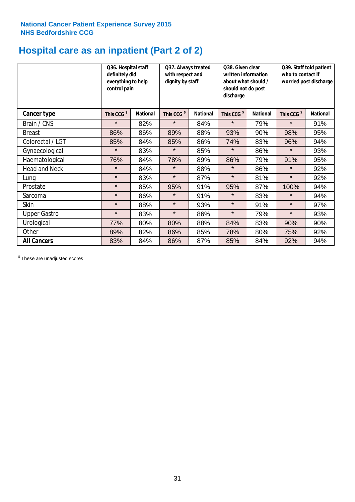## **Hospital care as an inpatient (Part 2 of 2)**

|                      | Q36. Hospital staff<br>definitely did<br>everything to help<br>control pain |                 | Q37. Always treated<br>with respect and<br>dignity by staff |                 | Q38. Given clear<br>written information<br>about what should /<br>should not do post<br>discharge |                 | Q39. Staff told patient<br>who to contact if<br>worried post discharge |                 |
|----------------------|-----------------------------------------------------------------------------|-----------------|-------------------------------------------------------------|-----------------|---------------------------------------------------------------------------------------------------|-----------------|------------------------------------------------------------------------|-----------------|
| Cancer type          | This CCG <sup>\$</sup>                                                      | <b>National</b> | This CCG <sup>\$</sup>                                      | <b>National</b> | This CCG <sup>\$</sup>                                                                            | <b>National</b> | This CCG <sup>\$</sup>                                                 | <b>National</b> |
| Brain / CNS          | $\star$                                                                     | 82%             | $\star$                                                     | 84%             | $\star$                                                                                           | 79%             | $\star$                                                                | 91%             |
| <b>Breast</b>        | 86%                                                                         | 86%             | 89%                                                         | 88%             | 93%                                                                                               | 90%             | 98%                                                                    | 95%             |
| Colorectal / LGT     | 85%                                                                         | 84%             | 85%                                                         | 86%             | 74%                                                                                               | 83%             | 96%                                                                    | 94%             |
| Gynaecological       | $\star$                                                                     | 83%             | $\star$                                                     | 85%             | $\star$                                                                                           | 86%             | $\star$                                                                | 93%             |
| Haematological       | 76%                                                                         | 84%             | 78%                                                         | 89%             | 86%                                                                                               | 79%             | 91%                                                                    | 95%             |
| <b>Head and Neck</b> | $\star$                                                                     | 84%             | $\star$                                                     | 88%             | $\star$                                                                                           | 86%             | $\star$                                                                | 92%             |
| Lung                 | $\star$                                                                     | 83%             | $\star$                                                     | 87%             | $\star$                                                                                           | 81%             | $\star$                                                                | 92%             |
| Prostate             | $\star$                                                                     | 85%             | 95%                                                         | 91%             | 95%                                                                                               | 87%             | 100%                                                                   | 94%             |
| Sarcoma              | $\star$                                                                     | 86%             | $\star$                                                     | 91%             | $\star$                                                                                           | 83%             | $\star$                                                                | 94%             |
| Skin                 | $\star$                                                                     | 88%             | $\star$                                                     | 93%             | $\star$                                                                                           | 91%             | $\star$                                                                | 97%             |
| <b>Upper Gastro</b>  | $\star$                                                                     | 83%             | $\star$                                                     | 86%             | $\star$                                                                                           | 79%             | $\star$                                                                | 93%             |
| Urological           | 77%                                                                         | 80%             | 80%                                                         | 88%             | 84%                                                                                               | 83%             | 90%                                                                    | 90%             |
| Other                | 89%                                                                         | 82%             | 86%                                                         | 85%             | 78%                                                                                               | 80%             | 75%                                                                    | 92%             |
| <b>All Cancers</b>   | 83%                                                                         | 84%             | 86%                                                         | 87%             | 85%                                                                                               | 84%             | 92%                                                                    | 94%             |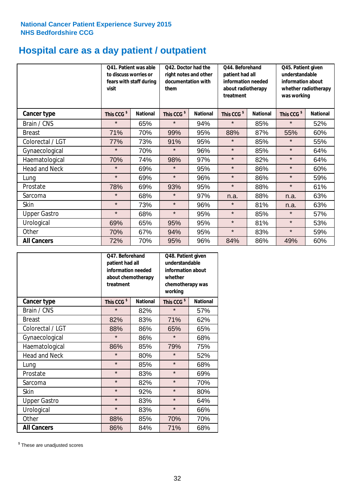## **Hospital care as a day patient / outpatient**

|                      | to discuss worries or<br>visit | Q41. Patient was able<br>fears with staff during | Q42. Doctor had the<br>right notes and other<br>documentation with<br>them |                 | Q44. Beforehand<br>patient had all<br>information needed<br>about radiotherapy<br>treatment |                 | Q45. Patient given<br>understandable<br>information about<br>whether radiotherapy<br>was working |                 |
|----------------------|--------------------------------|--------------------------------------------------|----------------------------------------------------------------------------|-----------------|---------------------------------------------------------------------------------------------|-----------------|--------------------------------------------------------------------------------------------------|-----------------|
| <b>Cancer type</b>   | This CCG <sup>\$</sup>         | <b>National</b>                                  | This CCG <sup>\$</sup>                                                     | <b>National</b> | This CCG <sup>\$</sup>                                                                      | <b>National</b> | This CCG <sup>\$</sup>                                                                           | <b>National</b> |
| Brain / CNS          | $\star$                        | 65%                                              | $\star$                                                                    | 94%             | $\star$                                                                                     | 85%             | $\star$                                                                                          | 52%             |
| <b>Breast</b>        | 71%                            | 70%                                              | 99%                                                                        | 95%             | 88%                                                                                         | 87%             | 55%                                                                                              | 60%             |
| Colorectal / LGT     | 77%                            | 73%                                              | 91%                                                                        | 95%             | $\star$                                                                                     | 85%             | $\star$                                                                                          | 55%             |
| Gynaecological       | $\star$                        | 70%                                              | $\star$                                                                    | 96%             | $\star$                                                                                     | 85%             | $\star$                                                                                          | 64%             |
| Haematological       | 70%                            | 74%                                              | 98%                                                                        | 97%             | $\star$                                                                                     | 82%             | $\star$                                                                                          | 64%             |
| <b>Head and Neck</b> | $\star$                        | 69%                                              | $\star$                                                                    | 95%             | $\star$                                                                                     | 86%             | $\star$                                                                                          | 60%             |
| Lung                 | $\star$                        | 69%                                              | $\star$                                                                    | 96%             | $\star$                                                                                     | 86%             | $\star$                                                                                          | 59%             |
| Prostate             | 78%                            | 69%                                              | 93%                                                                        | 95%             | $\star$                                                                                     | 88%             | $\star$                                                                                          | 61%             |
| Sarcoma              | $\star$                        | 68%                                              | $\star$                                                                    | 97%             | n.a.                                                                                        | 88%             | n.a.                                                                                             | 63%             |
| Skin                 | $\star$                        | 73%                                              | $\star$                                                                    | 96%             | $\star$                                                                                     | 81%             | n.a.                                                                                             | 63%             |
| <b>Upper Gastro</b>  | $\star$                        | 68%                                              | $\star$                                                                    | 95%             | $\star$                                                                                     | 85%             | $\star$                                                                                          | 57%             |
| Urological           | 69%                            | 65%                                              | 95%                                                                        | 95%             | $\star$                                                                                     | 81%             | $\star$                                                                                          | 53%             |
| Other                | 70%                            | 67%                                              | 94%                                                                        | 95%             | $\star$                                                                                     | 83%             | $\star$                                                                                          | 59%             |
| <b>All Cancers</b>   | 72%                            | 70%                                              | 95%                                                                        | 96%             | 84%                                                                                         | 86%             | 49%                                                                                              | 60%             |

|                      | O47. Beforehand<br>patient had all<br>information needed<br>about chemotherapy<br>treatment |                 | Q48. Patient given<br>understandable<br>information about<br>whether<br>chemotherapy was<br>working |                 |  |
|----------------------|---------------------------------------------------------------------------------------------|-----------------|-----------------------------------------------------------------------------------------------------|-----------------|--|
| <b>Cancer type</b>   | This CCG <sup>\$</sup>                                                                      | <b>National</b> | This CCG <sup>\$</sup>                                                                              | <b>National</b> |  |
| Brain / CNS          | $\star$                                                                                     | 82%             | $\star$                                                                                             | 57%             |  |
| <b>Breast</b>        | 82%                                                                                         | 83%             | 71%                                                                                                 | 62%             |  |
| Colorectal / LGT     | 88%                                                                                         | 86%             | 65%                                                                                                 | 65%             |  |
| Gynaecological       | $\star$                                                                                     | 86%             |                                                                                                     | 68%             |  |
| Haematological       | 86%                                                                                         | 85%             |                                                                                                     | 75%             |  |
| <b>Head and Neck</b> | $\star$                                                                                     | 80%             | $\star$                                                                                             | 52%             |  |
| Lung                 | $\star$                                                                                     | 85%             | $\star$                                                                                             | 68%             |  |
| Prostate             | $\star$                                                                                     | 83%             | $\star$                                                                                             | 69%             |  |
| Sarcoma              | $\star$                                                                                     | 82%             | $\star$                                                                                             | 70%             |  |
| Skin                 | $\star$                                                                                     | 92%             | $\star$                                                                                             | 80%             |  |
| <b>Upper Gastro</b>  | $\star$                                                                                     | 83%             | $\star$                                                                                             | 64%             |  |
| Urological           | $\star$                                                                                     | 83%             | $\star$                                                                                             | 66%             |  |
| Other                | 88%                                                                                         | 85%             | 70%                                                                                                 | 70%             |  |
| <b>All Cancers</b>   | 86%                                                                                         | 84%             | 71%                                                                                                 | 68%             |  |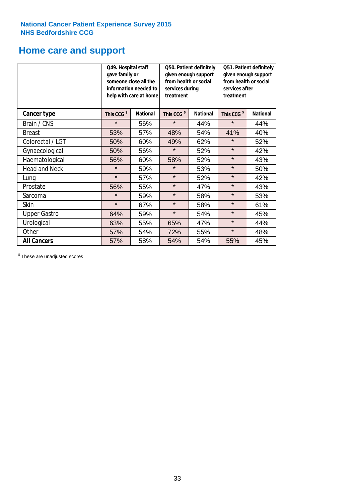## **Home care and support**

|                      | Q49. Hospital staff<br>gave family or | someone close all the<br>information needed to<br>help with care at home | Q50. Patient definitely<br>given enough support<br>from health or social<br>services during<br>treatment |                 | Q51. Patient definitely<br>given enough support<br>from health or social<br>services after<br>treatment |                 |  |
|----------------------|---------------------------------------|--------------------------------------------------------------------------|----------------------------------------------------------------------------------------------------------|-----------------|---------------------------------------------------------------------------------------------------------|-----------------|--|
| <b>Cancer type</b>   | This CCG <sup>\$</sup>                | <b>National</b>                                                          | This CCG <sup>\$</sup>                                                                                   | <b>National</b> | This CCG <sup>\$</sup>                                                                                  | <b>National</b> |  |
| Brain / CNS          | $\star$                               | 56%                                                                      | $\star$                                                                                                  | 44%             | $\star$                                                                                                 | 44%             |  |
| <b>Breast</b>        | 53%                                   | 57%                                                                      | 48%                                                                                                      | 54%             | 41%                                                                                                     | 40%             |  |
| Colorectal / LGT     | 50%                                   | 60%                                                                      | 49%                                                                                                      | 62%             | $\star$                                                                                                 | 52%             |  |
| Gynaecological       | 50%                                   | 56%                                                                      | $\star$<br>52%                                                                                           |                 | $\star$                                                                                                 | 42%             |  |
| Haematological       | 56%                                   | 60%                                                                      | 58%                                                                                                      | 52%             | $\star$                                                                                                 | 43%             |  |
| <b>Head and Neck</b> | $\star$                               | 59%                                                                      | $\star$                                                                                                  | 53%             | $\star$                                                                                                 | 50%             |  |
| Lung                 | $\star$                               | 57%                                                                      | $\star$                                                                                                  | 52%             | $\star$                                                                                                 | 42%             |  |
| Prostate             | 56%                                   | 55%                                                                      | $\star$                                                                                                  | 47%             | $\star$                                                                                                 | 43%             |  |
| Sarcoma              | $\star$                               | 59%                                                                      | $\star$                                                                                                  | 58%             | $\star$                                                                                                 | 53%             |  |
| Skin                 | $\star$                               | 67%                                                                      | $\star$                                                                                                  | 58%             | $\star$                                                                                                 | 61%             |  |
| <b>Upper Gastro</b>  | 64%                                   | 59%                                                                      | $\star$                                                                                                  | 54%             | $\star$                                                                                                 | 45%             |  |
| Urological           | 63%                                   | 55%                                                                      | 65%                                                                                                      | 47%             | $\star$                                                                                                 | 44%             |  |
| Other                | 57%                                   | 54%                                                                      | 72%                                                                                                      | 55%             | $\star$                                                                                                 | 48%             |  |
| <b>All Cancers</b>   | 57%                                   | 58%                                                                      | 54%                                                                                                      | 54%             | 55%                                                                                                     | 45%             |  |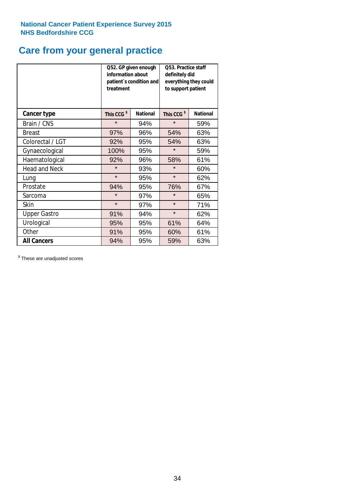## **Care from your general practice**

|                      | information about<br>treatment | Q52. GP given enough<br>patient's condition and | O53. Practice staff<br>definitely did<br>everything they could<br>to support patient |                 |  |
|----------------------|--------------------------------|-------------------------------------------------|--------------------------------------------------------------------------------------|-----------------|--|
| <b>Cancer type</b>   | This CCG <sup>\$</sup>         | <b>National</b>                                 | This CCG <sup>\$</sup>                                                               | <b>National</b> |  |
| Brain / CNS          | $\star$                        | 94%                                             | $\star$                                                                              | 59%             |  |
| <b>Breast</b>        | 97%                            | 96%                                             | 54%                                                                                  | 63%             |  |
| Colorectal / LGT     | 92%                            | 95%                                             | 54%                                                                                  | 63%             |  |
| Gynaecological       | 100%<br>95%                    |                                                 | $\star$                                                                              | 59%             |  |
| Haematological       | 92%                            | 96%                                             | 58%                                                                                  | 61%             |  |
| <b>Head and Neck</b> | $\star$                        | 93%                                             | $\star$                                                                              | 60%             |  |
| Lung                 | $\star$                        | 95%                                             | $\star$                                                                              | 62%             |  |
| Prostate             | 94%                            | 95%                                             | 76%                                                                                  | 67%             |  |
| Sarcoma              | $\star$                        | 97%                                             | $\star$                                                                              | 65%             |  |
| Skin                 | $\star$                        | 97%                                             | $\star$                                                                              | 71%             |  |
| <b>Upper Gastro</b>  | 91%                            | 94%                                             | $\star$                                                                              | 62%             |  |
| Urological           | 95%                            | 95%                                             | 61%                                                                                  | 64%             |  |
| Other                | 91%                            | 95%                                             | 60%                                                                                  | 61%             |  |
| <b>All Cancers</b>   | 94%                            | 95%                                             | 59%                                                                                  | 63%             |  |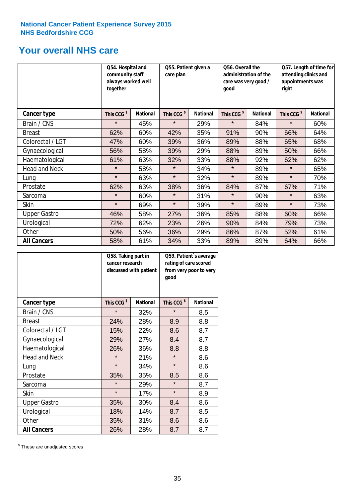## **Your overall NHS care**

|                      | Q54. Hospital and<br>community staff<br>always worked well<br>together | Q55. Patient given a<br>care plan |                        |                 | Q56. Overall the<br>administration of the<br>care was very good /<br>qood |                 | Q57. Length of time for<br>attending clinics and<br>appointments was<br>right |                 |  |
|----------------------|------------------------------------------------------------------------|-----------------------------------|------------------------|-----------------|---------------------------------------------------------------------------|-----------------|-------------------------------------------------------------------------------|-----------------|--|
| Cancer type          | This CCG <sup>\$</sup>                                                 | <b>National</b>                   | This CCG <sup>\$</sup> | <b>National</b> | This CCG <sup>\$</sup>                                                    | <b>National</b> | This CCG <sup>\$</sup>                                                        | <b>National</b> |  |
| Brain / CNS          | $\star$                                                                | 45%                               | $\star$                | 29%             | $\star$                                                                   | 84%             | $\star$                                                                       | 60%             |  |
| <b>Breast</b>        | 62%                                                                    | 60%                               | 42%                    | 35%             | 91%                                                                       | 90%             | 66%                                                                           | 64%             |  |
| Colorectal / LGT     | 47%                                                                    | 60%                               | 39%                    | 36%             | 89%                                                                       | 88%             | 65%                                                                           | 68%             |  |
| Gynaecological       | 56%                                                                    | 58%                               | 39%                    | 29%             | 88%                                                                       | 89%             | 50%                                                                           | 66%             |  |
| Haematological       | 61%                                                                    | 63%                               | 32%                    | 33%             | 88%                                                                       | 92%             | 62%                                                                           | 62%             |  |
| <b>Head and Neck</b> | $\star$                                                                | 58%                               | $\star$                | 34%             | $\star$                                                                   | 89%             | $\star$                                                                       | 65%             |  |
| Lung                 | $\star$                                                                | 63%                               | $\star$                | 32%             | $\star$                                                                   | 89%             | $\star$                                                                       | 70%             |  |
| Prostate             | 62%                                                                    | 63%                               | 38%                    | 36%             | 84%                                                                       | 87%             | 67%                                                                           | 71%             |  |
| Sarcoma              | $\star$                                                                | 60%                               | $\star$                | 31%             | $\star$                                                                   | 90%             | $\star$                                                                       | 63%             |  |
| Skin                 | $\star$                                                                | 69%                               | $\star$                | 39%             | $\star$                                                                   | 89%             | $\star$                                                                       | 73%             |  |
| <b>Upper Gastro</b>  | 46%                                                                    | 58%                               | 27%                    | 36%             | 85%                                                                       | 88%             | 60%                                                                           | 66%             |  |
| Urological           | 72%                                                                    | 62%                               | 23%                    | 26%             | 90%                                                                       | 84%             | 79%                                                                           | 73%             |  |
| Other                | 50%                                                                    | 56%                               | 36%                    | 29%             | 86%                                                                       | 87%             | 52%                                                                           | 61%             |  |
| <b>All Cancers</b>   | 58%                                                                    | 61%                               | 34%                    | 33%             | 89%                                                                       | 89%             | 64%                                                                           | 66%             |  |

|                      | Q58. Taking part in<br>cancer research | discussed with patient | Q59. Patient's average<br>rating of care scored<br>from very poor to very<br>good |                 |  |
|----------------------|----------------------------------------|------------------------|-----------------------------------------------------------------------------------|-----------------|--|
| <b>Cancer type</b>   | This CCG <sup>\$</sup>                 | <b>National</b>        | This CCG <sup>\$</sup>                                                            | <b>National</b> |  |
| Brain / CNS          | $\star$                                | 32%                    | $\star$                                                                           | 8.5             |  |
| <b>Breast</b>        | 24%                                    | 28%                    | 8.9                                                                               | 8.8             |  |
| Colorectal / LGT     | 15%                                    | 22%                    | 8.6                                                                               | 8.7             |  |
| Gynaecological       | 27%<br>29%                             |                        | 8.4                                                                               | 8.7             |  |
| Haematological       | 26%                                    | 36%                    | 8.8                                                                               | 8.8             |  |
| <b>Head and Neck</b> | $\star$                                | 21%                    | $\star$                                                                           | 8.6             |  |
| Lung                 | $\star$                                | 34%                    | $\star$                                                                           | 8.6             |  |
| Prostate             | 35%                                    | 35%                    | 8.5                                                                               | 8.6             |  |
| Sarcoma              | $\star$                                | 29%                    | $\star$                                                                           | 8.7             |  |
| Skin                 | $\star$                                | 17%                    | $\star$                                                                           | 8.9             |  |
| <b>Upper Gastro</b>  | 35%                                    | 30%                    | 8.4                                                                               | 8.6             |  |
| Urological           | 18%                                    | 14%                    | 8.7                                                                               | 8.5             |  |
| Other                | 35%                                    | 31%                    | 8.6                                                                               | 8.6             |  |
| <b>All Cancers</b>   | 26%                                    | 28%                    | 8.7                                                                               | 8.7             |  |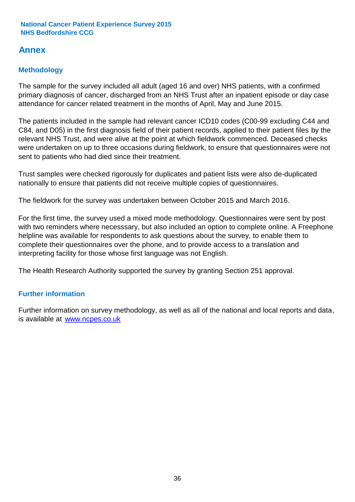## **Annex**

### **Methodology**

The sample for the survey included all adult (aged 16 and over) NHS patients, with a confirmed primary diagnosis of cancer, discharged from an NHS Trust after an inpatient episode or day case attendance for cancer related treatment in the months of April, May and June 2015.

The patients included in the sample had relevant cancer ICD10 codes (C00-99 excluding C44 and C84, and D05) in the first diagnosis field of their patient records, applied to their patient files by the relevant NHS Trust, and were alive at the point at which fieldwork commenced. Deceased checks were undertaken on up to three occasions during fieldwork, to ensure that questionnaires were not sent to patients who had died since their treatment.

Trust samples were checked rigorously for duplicates and patient lists were also de-duplicated nationally to ensure that patients did not receive multiple copies of questionnaires.

The fieldwork for the survey was undertaken between October 2015 and March 2016.

For the first time, the survey used a mixed mode methodology. Questionnaires were sent by post with two reminders where necesssary, but also included an option to complete online. A Freephone helpline was available for respondents to ask questions about the survey, to enable them to complete their questionnaires over the phone, and to provide access to a translation and interpreting facility for those whose first language was not English.

The Health Research Authority supported the survey by granting Section 251 approval.

### **Further information**

Further information on survey methodology, as well as all of the national and local reports and data, is available at www.ncpes.co.uk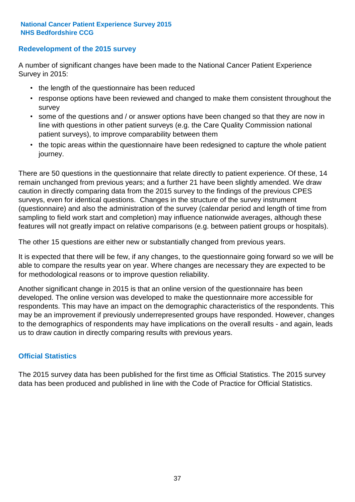### **Redevelopment of the 2015 survey**

A number of significant changes have been made to the National Cancer Patient Experience Survey in 2015:

- the length of the questionnaire has been reduced
- response options have been reviewed and changed to make them consistent throughout the survey
- some of the questions and / or answer options have been changed so that they are now in line with questions in other patient surveys (e.g. the Care Quality Commission national patient surveys), to improve comparability between them
- the topic areas within the questionnaire have been redesigned to capture the whole patient journey.

There are 50 questions in the questionnaire that relate directly to patient experience. Of these, 14 remain unchanged from previous years; and a further 21 have been slightly amended. We draw caution in directly comparing data from the 2015 survey to the findings of the previous CPES surveys, even for identical questions. Changes in the structure of the survey instrument (questionnaire) and also the administration of the survey (calendar period and length of time from sampling to field work start and completion) may influence nationwide averages, although these features will not greatly impact on relative comparisons (e.g. between patient groups or hospitals).

The other 15 questions are either new or substantially changed from previous years.

It is expected that there will be few, if any changes, to the questionnaire going forward so we will be able to compare the results year on year. Where changes are necessary they are expected to be for methodological reasons or to improve question reliability.

Another significant change in 2015 is that an online version of the questionnaire has been developed. The online version was developed to make the questionnaire more accessible for respondents. This may have an impact on the demographic characteristics of the respondents. This may be an improvement if previously underrepresented groups have responded. However, changes to the demographics of respondents may have implications on the overall results - and again, leads us to draw caution in directly comparing results with previous years.

### **Official Statistics**

The 2015 survey data has been published for the first time as Official Statistics. The 2015 survey data has been produced and published in line with the Code of Practice for Official Statistics.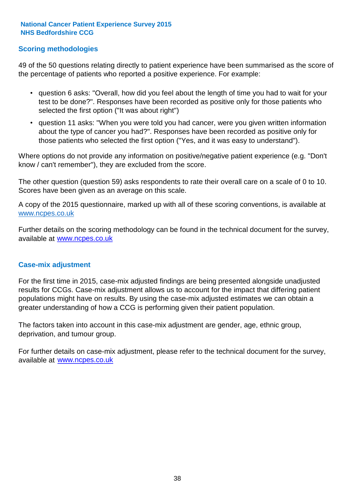### **Scoring methodologies**

49 of the 50 questions relating directly to patient experience have been summarised as the score of the percentage of patients who reported a positive experience. For example:

- question 6 asks: "Overall, how did you feel about the length of time you had to wait for your test to be done?". Responses have been recorded as positive only for those patients who selected the first option ("It was about right")
- question 11 asks: "When you were told you had cancer, were you given written information about the type of cancer you had?". Responses have been recorded as positive only for those patients who selected the first option ("Yes, and it was easy to understand").

Where options do not provide any information on positive/negative patient experience (e.g. "Don't know / can't remember"), they are excluded from the score.

The other question (question 59) asks respondents to rate their overall care on a scale of 0 to 10. Scores have been given as an average on this scale.

A copy of the 2015 questionnaire, marked up with all of these scoring conventions, is available at www.ncpes.co.uk

Further details on the scoring methodology can be found in the technical document for the survey, available at <u>www.ncpes.co.uk</u>

#### **Case-mix adjustment**

For the first time in 2015, case-mix adjusted findings are being presented alongside unadjusted results for CCGs. Case-mix adjustment allows us to account for the impact that differing patient populations might have on results. By using the case-mix adjusted estimates we can obtain a greater understanding of how a CCG is performing given their patient population.

The factors taken into account in this case-mix adjustment are gender, age, ethnic group, deprivation, and tumour group.

For further details on case-mix adjustment, please refer to the technical document for the survey, available at www.ncpes.co.uk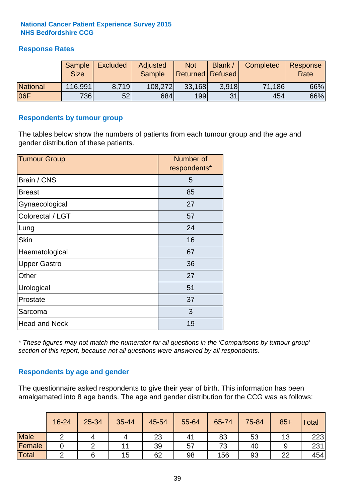### **Response Rates**

|                 | <b>Sample</b><br><b>Size</b> | <b>Excluded</b> | <b>Adjusted</b><br><b>Sample</b> | <b>Not</b><br><b>Returned Refused</b> | Blank | Completed | Response<br>Rate |
|-----------------|------------------------------|-----------------|----------------------------------|---------------------------------------|-------|-----------|------------------|
| <b>National</b> | 116,991                      | 8.719           | 108,272                          | 33,168                                | 3.918 | 71,186    | 66%              |
| 06F             | <b>736</b>                   | 52              | 684                              | 199                                   | 31    | 454       | 66%              |

#### **Respondents by tumour group**

The tables below show the numbers of patients from each tumour group and the age and gender distribution of these patients.

| <b>Tumour Group</b>  | Number of<br>respondents* |  |  |
|----------------------|---------------------------|--|--|
| Brain / CNS          | 5                         |  |  |
| <b>Breast</b>        | 85                        |  |  |
| Gynaecological       | 27                        |  |  |
| Colorectal / LGT     | 57                        |  |  |
| Lung                 | 24                        |  |  |
| <b>Skin</b>          | 16                        |  |  |
| Haematological       | 67                        |  |  |
| <b>Upper Gastro</b>  | 36                        |  |  |
| Other                | 27                        |  |  |
| Urological           | 51                        |  |  |
| Prostate             | 37                        |  |  |
| Sarcoma              | 3                         |  |  |
| <b>Head and Neck</b> | 19                        |  |  |

*\* These figures may not match the numerator for all questions in the 'Comparisons by tumour group' section of this report, because not all questions were answered by all respondents.*

### **Respondents by age and gender**

The questionnaire asked respondents to give their year of birth. This information has been amalgamated into 8 age bands. The age and gender distribution for the CCG was as follows:

|             | 16-24 | $25 - 34$ | 35-44 | 45-54 | 55-64 | 65-74 | 75-84 | $85+$ | <b>Total</b> |
|-------------|-------|-----------|-------|-------|-------|-------|-------|-------|--------------|
| <b>Male</b> |       |           |       | 23    | 41    | 83    | 53    | 13    | 223          |
| Female      |       |           | 11    | 39    | 57    | 73    | 40    |       | 231          |
| Total       |       |           | 15    | 62    | 98    | 156   | 93    | 22    | 454          |